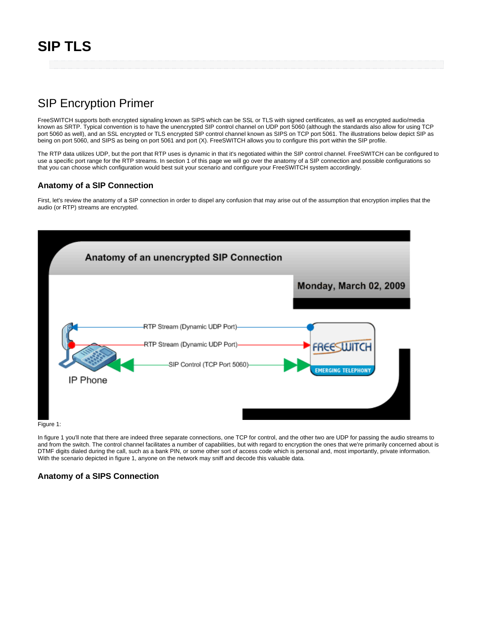# SIP Encryption Primer

FreeSWITCH supports both encrypted signaling known as SIPS which can be SSL or TLS with signed certificates, as well as encrypted audio/media known as SRTP. Typical convention is to have the unencrypted SIP control channel on UDP port 5060 (although the standards also allow for using TCP port 5060 as well), and an SSL encrypted or TLS encrypted SIP control channel known as SIPS on TCP port 5061. The illustrations below depict SIP as being on port 5060, and SIPS as being on port 5061 and port (X). FreeSWITCH allows you to configure this port within the SIP profile.

The RTP data utilizes UDP, but the port that RTP uses is dynamic in that it's negotiated within the SIP control channel. FreeSWITCH can be configured to use a specific port range for the RTP streams. In section 1 of this page we will go over the anatomy of a SIP connection and possible configurations so that you can choose which configuration would best suit your scenario and configure your FreeSWITCH system accordingly.

### **Anatomy of a SIP Connection**

First, let's review the anatomy of a SIP connection in order to dispel any confusion that may arise out of the assumption that encryption implies that the audio (or RTP) streams are encrypted.



Figure 1:

In figure 1 you'll note that there are indeed three separate connections, one TCP for control, and the other two are UDP for passing the audio streams to and from the switch. The control channel facilitates a number of capabilities, but with regard to encryption the ones that we're primarily concerned about is DTMF digits dialed during the call, such as a bank PIN, or some other sort of access code which is personal and, most importantly, private information. With the scenario depicted in figure 1, anyone on the network may sniff and decode this valuable data.

# **Anatomy of a SIPS Connection**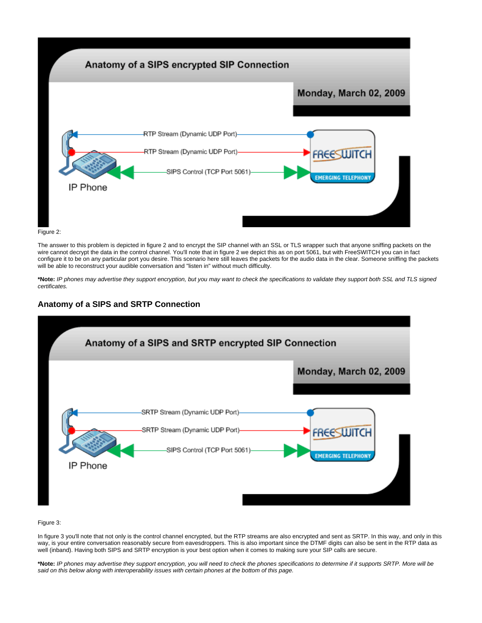

Figure 2:

The answer to this problem is depicted in figure 2 and to encrypt the SIP channel with an SSL or TLS wrapper such that anyone sniffing packets on the wire cannot decrypt the data in the control channel. You'll note that in figure 2 we depict this as on port 5061, but with FreeSWITCH you can in fact configure it to be on any particular port you desire. This scenario here still leaves the packets for the audio data in the clear. Someone sniffing the packets will be able to reconstruct your audible conversation and "listen in" without much difficulty.

**\*Note:** IP phones may advertise they support encryption, but you may want to check the specifications to validate they support both SSL and TLS signed certificates.

# **Anatomy of a SIPS and SRTP Connection**



#### Figure 3:

In figure 3 you'll note that not only is the control channel encrypted, but the RTP streams are also encrypted and sent as SRTP. In this way, and only in this way, is your entire conversation reasonably secure from eavesdroppers. This is also important since the DTMF digits can also be sent in the RTP data as well (inband). Having both SIPS and SRTP encryption is your best option when it comes to making sure your SIP calls are secure.

**\*Note:** IP phones may advertise they support encryption, you will need to check the phones specifications to determine if it supports SRTP. More will be said on this below along with interoperability issues with certain phones at the bottom of this page.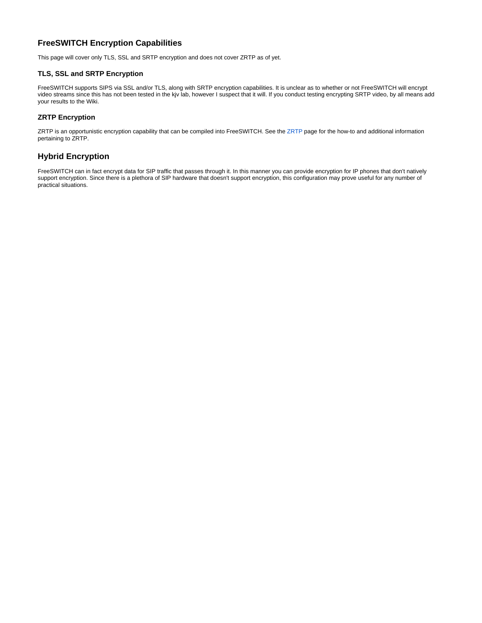# **FreeSWITCH Encryption Capabilities**

This page will cover only TLS, SSL and SRTP encryption and does not cover ZRTP as of yet.

### **TLS, SSL and SRTP Encryption**

FreeSWITCH supports SIPS via SSL and/or TLS, along with SRTP encryption capabilities. It is unclear as to whether or not FreeSWITCH will encrypt video streams since this has not been tested in the kjv lab, however I suspect that it will. If you conduct testing encrypting SRTP video, by all means add your results to the Wiki.

# **ZRTP Encryption**

ZRTP is an opportunistic encryption capability that can be compiled into FreeSWITCH. See the [ZRTP](https://wiki.freeswitch.org/wiki/ZRTP) page for the how-to and additional information pertaining to ZRTP.

### **Hybrid Encryption**

FreeSWITCH can in fact encrypt data for SIP traffic that passes through it. In this manner you can provide encryption for IP phones that don't natively support encryption. Since there is a plethora of SIP hardware that doesn't support encryption, this configuration may prove useful for any number of practical situations.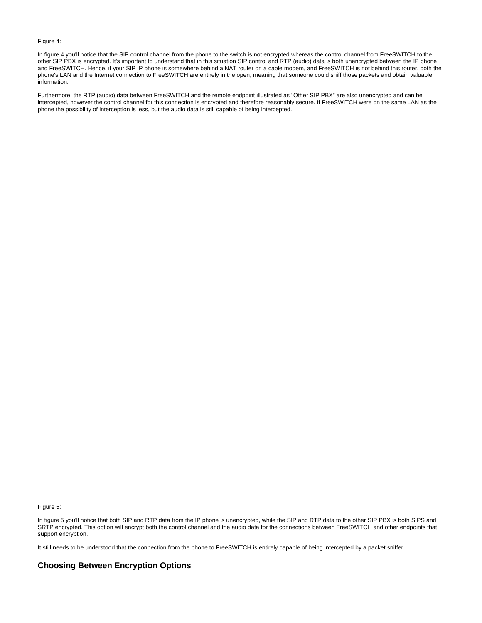#### Figure 4:

In figure 4 you'll notice that the SIP control channel from the phone to the switch is not encrypted whereas the control channel from FreeSWITCH to the other SIP PBX is encrypted. It's important to understand that in this situation SIP control and RTP (audio) data is both unencrypted between the IP phone and FreeSWITCH. Hence, if your SIP IP phone is somewhere behind a NAT router on a cable modem, and FreeSWITCH is not behind this router, both the phone's LAN and the Internet connection to FreeSWITCH are entirely in the open, meaning that someone could sniff those packets and obtain valuable information.

Furthermore, the RTP (audio) data between FreeSWITCH and the remote endpoint illustrated as "Other SIP PBX" are also unencrypted and can be intercepted, however the control channel for this connection is encrypted and therefore reasonably secure. If FreeSWITCH were on the same LAN as the phone the possibility of interception is less, but the audio data is still capable of being intercepted.

Figure 5:

In figure 5 you'll notice that both SIP and RTP data from the IP phone is unencrypted, while the SIP and RTP data to the other SIP PBX is both SIPS and SRTP encrypted. This option will encrypt both the control channel and the audio data for the connections between FreeSWITCH and other endpoints that support encryption.

It still needs to be understood that the connection from the phone to FreeSWITCH is entirely capable of being intercepted by a packet sniffer.

### **Choosing Between Encryption Options**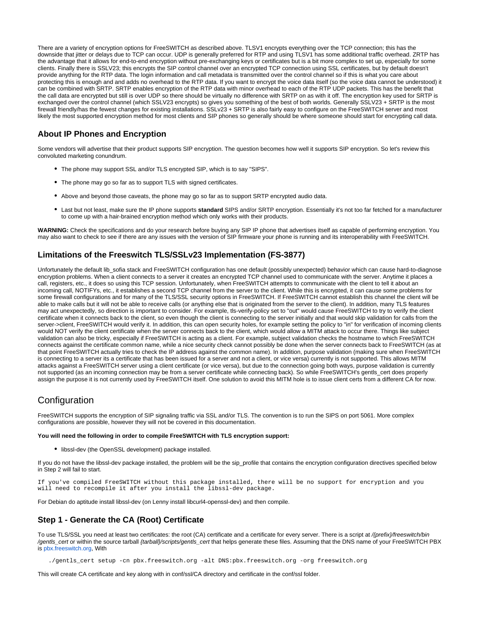There are a variety of encryption options for FreeSWITCH as described above. TLSV1 encrypts everything over the TCP connection; this has the downside that jitter or delays due to TCP can occur. UDP is generally preferred for RTP and using TLSV1 has some additional traffic overhead. ZRTP has the advantage that it allows for end-to-end encryption without pre-exchanging keys or certificates but is a bit more complex to set up, especially for some clients. Finally there is SSLV23; this encrypts the SIP control channel over an encrypted TCP connection using SSL certificates, but by default doesn't provide anything for the RTP data. The login information and call metadata is transmitted over the control channel so if this is what you care about protecting this is enough and and adds no overhead to the RTP data. If you want to encrypt the voice data itself (so the voice data cannot be understood) it can be combined with SRTP. SRTP enables encryption of the RTP data with minor overhead to each of the RTP UDP packets. This has the benefit that the call data are encrypted but still is over UDP so there should be virtually no difference with SRTP on as with it off. The encryption key used for SRTP is exchanged over the control channel (which SSLV23 encrypts) so gives you something of the best of both worlds. Generally SSLV23 + SRTP is the most firewall friendly/has the fewest changes for existing installations. SSLv23 + SRTP is also fairly easy to configure on the FreeSWITCH server and most likely the most supported encryption method for most clients and SIP phones so generally should be where someone should start for encrypting call data.

### **About IP Phones and Encryption**

Some vendors will advertise that their product supports SIP encryption. The question becomes how well it supports SIP encryption. So let's review this convoluted marketing conundrum.

- The phone may support SSL and/or TLS encrypted SIP, which is to say "SIPS".
- The phone may go so far as to support TLS with signed certificates.
- Above and beyond those caveats, the phone may go so far as to support SRTP encrypted audio data.
- Last but not least, make sure the IP phone supports **standard** SIPS and/or SRTP encryption. Essentially it's not too far fetched for a manufacturer to come up with a hair-brained encryption method which only works with their products.

**WARNING:** Check the specifications and do your research before buying any SIP IP phone that advertises itself as capable of performing encryption. You may also want to check to see if there are any issues with the version of SIP firmware your phone is running and its interoperability with FreeSWITCH.

# **Limitations of the Freeswitch TLS/SSLv23 Implementation (FS-3877)**

Unfortunately the default lib\_sofia stack and FreeSWITCH configuration has one default (possibly unexpected) behavior which can cause hard-to-diagnose encryption problems. When a client connects to a server it creates an encrypted TCP channel used to communicate with the server. Anytime it places a call, registers, etc., it does so using this TCP session. Unfortunately, when FreeSWITCH attempts to communicate with the client to tell it about an incoming call, NOTIFYs, etc., it establishes a second TCP channel from the server to the client. While this is encrypted, it can cause some problems for some firewall configurations and for many of the TLS/SSL security options in FreeSWITCH. If FreeSWITCH cannot establish this channel the client will be able to make calls but it will not be able to receive calls (or anything else that is originated from the server to the client). In addition, many TLS features may act unexpectedly, so direction is important to consider. For example, tls-verify-policy set to "out" would cause FreeSWITCH to try to verify the client certificate when it connects back to the client, so even though the client is connecting to the server initially and that would skip validation for calls from the server->client, FreeSWITCH would verify it. In addition, this can open security holes, for example setting the policy to "in" for verification of incoming clients would NOT verify the client certificate when the server connects back to the client, which would allow a MITM attack to occur there. Things like subject validation can also be tricky, especially if FreeSWITCH is acting as a client. For example, subject validation checks the hostname to which FreeSWITCH connects against the certificate common name, while a nice security check cannot possibly be done when the server connects back to FreeSWITCH (as at that point FreeSWITCH actually tries to check the IP address against the common name). In addition, purpose validation (making sure when FreeSWITCH is connecting to a server its a certificate that has been issued for a server and not a client, or vice versa) currently is not supported. This allows MITM attacks against a FreeSWITCH server using a client certificate (or vice versa), but due to the connection going both ways, purpose validation is currently not supported (as an incoming connection may be from a server certificate while connecting back). So while FreeSWITCH's gentls\_cert does properly assign the purpose it is not currently used by FreeSWITCH itself. One solution to avoid this MITM hole is to issue client certs from a different CA for now.

# **Configuration**

FreeSWITCH supports the encryption of SIP signaling traffic via SSL and/or TLS. The convention is to run the SIPS on port 5061. More complex configurations are possible, however they will not be covered in this documentation.

#### **You will need the following in order to compile FreeSWITCH with TLS encryption support:**

• libssl-dev (the OpenSSL development) package installed.

If you do not have the libssl-dev package installed, the problem will be the sip\_profile that contains the encryption configuration directives specified below in Step 2 will fail to start.

If you've compiled FreeSWITCH without this package installed, there will be no support for encryption and you will need to recompile it after you install the libssl-dev package.

For Debian do aptitude install libssl-dev (on Lenny install libcurl4-openssl-dev) and then compile.

# **Step 1 - Generate the CA (Root) Certificate**

To use TLS/SSL you need at least two certificates: the root (CA) certificate and a certificate for every server. There is a script at /{prefix}/freeswitch/bin /gentls\_cert or within the source tarball {tarball}/scripts/gentls\_cert that helps generate these files. Assuming that the DNS name of your FreeSWITCH PBX is [pbx.freeswitch.org](http://pbx.freeswitch.org), With

./gentls\_cert setup -cn pbx.freeswitch.org -alt DNS:pbx.freeswitch.org -org freeswitch.org

This will create CA certificate and key along with in conf/ssl/CA directory and certificate in the conf/ssl folder.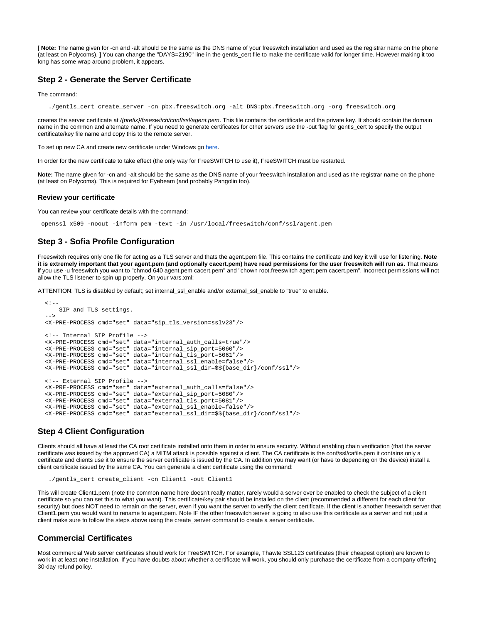[ **Note:** The name given for -cn and -alt should be the same as the DNS name of your freeswitch installation and used as the registrar name on the phone (at least on Polycoms). ] You can change the "DAYS=2190" line in the gentls\_cert file to make the certificate valid for longer time. However making it too long has some wrap around problem, it appears.

### **Step 2 - Generate the Server Certificate**

The command:

./gentls\_cert create\_server -cn pbx.freeswitch.org -alt DNS:pbx.freeswitch.org -org freeswitch.org

creates the server certificate at /{prefix}/freeswitch/conf/ssl/agent.pem. This file contains the certificate and the private key. It should contain the domain name in the common and alternate name. If you need to generate certificates for other servers use the -out flag for gentls\_cert to specify the output certificate/key file name and copy this to the remote server.

To set up new CA and create new certificate under Windows go here.

In order for the new certificate to take effect (the only way for FreeSWITCH to use it), FreeSWITCH must be restarted.

Note: The name given for -cn and -alt should be the same as the DNS name of your freeswitch installation and used as the registrar name on the phone (at least on Polycoms). This is required for Eyebeam (and probably Pangolin too).

#### **Review your certificate**

You can review your certificate details with the command:

openssl x509 -noout -inform pem -text -in /usr/local/freeswitch/conf/ssl/agent.pem

### **Step 3 - Sofia Profile Configuration**

Freeswitch requires only one file for acting as a TLS server and thats the agent.pem file. This contains the certificate and key it will use for listening. **Note it is extremely important that your agent.pem (and optionally cacert.pem) have read permissions for the user freeswitch will run as.** That means if you use -u freeswitch you want to "chmod 640 agent.pem cacert.pem" and "chown root.freeswitch agent.pem cacert.pem". Incorrect permissions will not allow the TLS listener to spin up properly. On your vars.xml:

ATTENTION: TLS is disabled by default; set internal\_ssl\_enable and/or external\_ssl\_enable to "true" to enable.

```
< ! - - SIP and TLS settings.
   -->
  <X-PRE-PROCESS cmd="set" data="sip_tls_version=sslv23"/>
  <!-- Internal SIP Profile -->
  <X-PRE-PROCESS cmd="set" data="internal_auth_calls=true"/>
   <X-PRE-PROCESS cmd="set" data="internal_sip_port=5060"/>
  <X-PRE-PROCESS cmd="set" data="internal_tls_port=5061"/>
 <X-PRE-PROCESS cmd="set" data="internal_ssl_enable=false"/>
 <X-PRE-PROCESS cmd="set" data="internal_ssl_dir=$${base_dir}/conf/ssl"/>
  <!-- External SIP Profile -->
 <X-PRE-PROCESS cmd="set" data="external_auth_calls=false"/>
 <X-PRE-PROCESS cmd="set" data="external_sip_port=5080"/>
   <X-PRE-PROCESS cmd="set" data="external_tls_port=5081"/>
 <X-PRE-PROCESS cmd="set" data="external_ssl_enable=false"/>
 <X-PRE-PROCESS cmd="set" data="external_ssl_dir=$${base_dir}/conf/ssl"/>
```
### **Step 4 Client Configuration**

Clients should all have at least the CA root certificate installed onto them in order to ensure security. Without enabling chain verification (that the server certificate was issued by the approved CA) a MITM attack is possible against a client. The CA certificate is the conf/ssl/cafile.pem it contains only a certificate and clients use it to ensure the server certificate is issued by the CA. In addition you may want (or have to depending on the device) install a client certificate issued by the same CA. You can generate a client certificate using the command:

```
 ./gentls_cert create_client -cn Client1 -out Client1
```
This will create Client1.pem (note the common name here doesn't really matter, rarely would a server ever be enabled to check the subject of a client certificate so you can set this to what you want). This certificate/key pair should be installed on the client (recommended a different for each client for security) but does NOT need to remain on the server, even if you want the server to verify the client certificate. If the client is another freeswitch server that Client1.pem you would want to rename to agent.pem. Note IF the other freeswitch server is going to also use this certificate as a server and not just a client make sure to follow the steps above using the create\_server command to create a server certificate.

### **Commercial Certificates**

Most commercial Web server certificates should work for FreeSWITCH. For example, Thawte SSL123 certificates (their cheapest option) are known to work in at least one installation. If you have doubts about whether a certificate will work, you should only purchase the certificate from a company offering 30-day refund policy.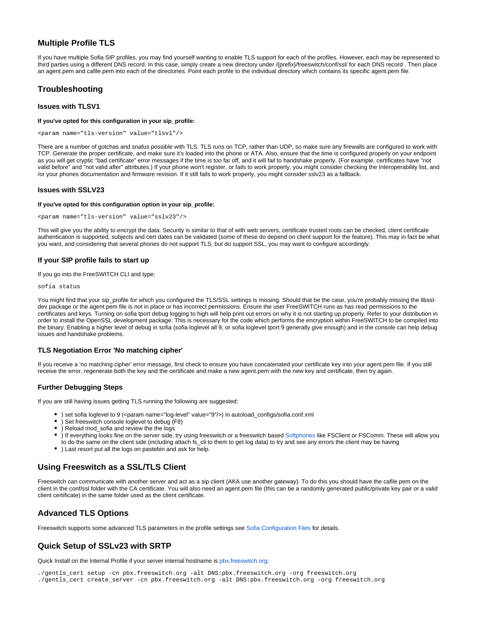### **Multiple Profile TLS**

If you have multiple Sofia SIP profiles, you may find yourself wanting to enable TLS support for each of the profiles. However, each may be represented to third parties using a different DNS record. In this case, simply create a new directory under /{prefix}/freeswitch/conf/ssl/ for each DNS record . Then place an agent.pem and cafile.pem into each of the directories. Point each profile to the individual directory which contains its specific agent.pem file.

### **Troubleshooting**

#### **Issues with TLSV1**

#### **If you've opted for this configuration in your sip\_profile:**

```
<param name="tls-version" value="tlsv1"/>
```
There are a number of gotchas and snafus possible with TLS. TLS runs on TCP, rather than UDP, so make sure any firewalls are configured to work with TCP. Generate the proper certificate, and make sure it's loaded into the phone or ATA. Also, ensure that the time is configured properly on your endpoint as you will get cryptic "bad certificate" error messages if the time is too far off, and it will fail to handshake properly. (For example, certificates have "not valid before" and "not valid after" attributes.) If your phone won't register, or fails to work properly, you might consider checking the Interoperability list, and /or your phones documentation and firmware revision. If it still fails to work properly, you might consider sslv23 as a fallback.

#### **Issues with SSLV23**

#### **If you've opted for this configuration option in your sip\_profile:**

```
<param name="tls-version" value="sslv23"/>
```
This will give you the ability to encrypt the data. Security is similar to that of with web servers, certificate trusted roots can be checked, client certificate authentication is supported, subjects and cert dates can be validated (some of these do depend on client support for the feature). This may in fact be what you want, and considering that several phones do not support TLS, but do support SSL, you may want to configure accordingly.

### **If your SIP profile fails to start up**

If you go into the FreeSWITCH CLI and type:

sofia status

You might find that your sip\_profile for which you configured the TLS/SSL settings is missing. Should that be the case, you're probably missing the libssldev package or the agent.pem file is not in place or has incorrect permissions. Ensure the user FreeSWITCH runs as has read permissions to the certificates and keys. Turning on sofia tport debug logging to high will help print out errors on why it is not starting up properly. Refer to your distribution in order to install the OpenSSL development package. This is necessary for the code which performs the encryption within FreeSWITCH to be compiled into the binary. Enabling a higher level of debug in sofia (sofia loglevel all 9, or sofia loglevel tport 9 generally give enough) and in the console can help debug issues and handshake problems.

### **TLS Negotiation Error 'No matching cipher'**

If you receive a 'no matching cipher' error message, first check to ensure you have concatenated your certificate key into your agent.pem file. If you still receive the error, regenerate both the key and the certificate and make a new agent.pem with the new key and certificate, then try again.

#### **Further Debugging Steps**

If you are still having issues getting TLS running the following are suggested:

- ) set sofia loglevel to 9 (<param name="log-level" value="9"/>) in autoload\_configs/sofia.conf.xml
- ) Set freeswitch console loglevel to debug (F8)
- ) Reload mod\_sofia and review the the logs
- ) If everything looks fine on the server side, try using freeswitch or a freeswitch based [Softphones](https://wiki.freeswitch.org/wiki/Softphones) like FSClient or FSComm. These will allow you
- to do the same on the client side (including attach fs\_cli to them to get log data) to try and see any errors the client may be having
- ) Last resort put all the logs on pastebin and ask for help.

# **Using Freeswitch as a SSL/TLS Client**

Freeswitch can communicate with another server and act as a sip client (AKA use another gateway). To do this you should have the cafile.pem on the client in the conf/ssl folder with the CA certificate. You will also need an agent.pem file (this can be a randomly generated public/private key pair or a valid client certificate) in the same folder used as the client certificate.

# **Advanced TLS Options**

Freeswitch supports some advanced TLS parameters in the profile settings see [Sofia Configuration Files](https://freeswitch.org/confluence/display/FREESWITCH/Sofia+Configuration+Files) for details.

# **Quick Setup of SSLv23 with SRTP**

Quick Install on the Internal Profile if your server internal hostname is [pbx.freeswitch.org:](http://pbx.freeswitch.org)

./gentls\_cert setup -cn pbx.freeswitch.org -alt DNS:pbx.freeswitch.org -org freeswitch.org

./gentls\_cert create\_server -cn pbx.freeswitch.org -alt DNS:pbx.freeswitch.org -org freeswitch.org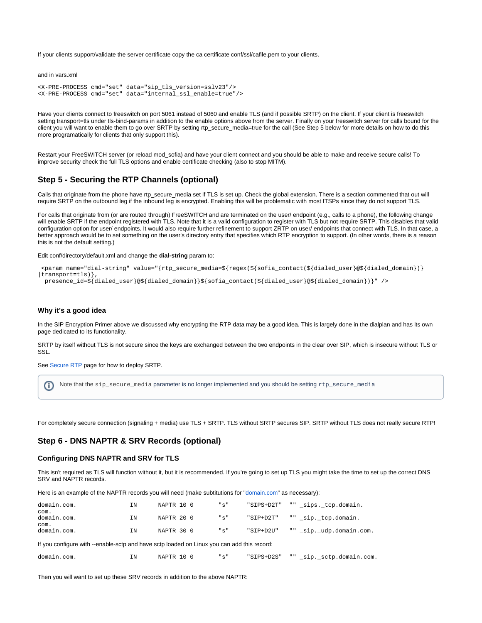If your clients support/validate the server certificate copy the ca certificate conf/ssl/cafile.pem to your clients.

and in vars.xml

```
<X-PRE-PROCESS cmd="set" data="sip_tls_version=sslv23"/>
<X-PRE-PROCESS cmd="set" data="internal_ssl_enable=true"/>
```
Have your clients connect to freeswitch on port 5061 instead of 5060 and enable TLS (and if possible SRTP) on the client. If your client is freeswitch setting transport=tls under tls-bind-params in addition to the enable options above from the server. Finally on your freeswitch server for calls bound for the client you will want to enable them to go over SRTP by setting rtp\_secure\_media=true for the call (See Step 5 below for more details on how to do this more programatically for clients that only support this).

Restart your FreeSWITCH server (or reload mod\_sofia) and have your client connect and you should be able to make and receive secure calls! To improve security check the full TLS options and enable certificate checking (also to stop MITM).

### **Step 5 - Securing the RTP Channels (optional)**

Calls that originate from the phone have rtp\_secure\_media set if TLS is set up. Check the global extension. There is a section commented that out will require SRTP on the outbound leg if the inbound leg is encrypted. Enabling this will be problematic with most ITSPs since they do not support TLS.

For calls that originate from (or are routed through) FreeSWITCH and are terminated on the user/ endpoint (e.g., calls to a phone), the following change will enable SRTP if the endpoint registered with TLS. Note that it is a valid configuration to register with TLS but not require SRTP. This disables that valid configuration option for user/ endpoints. It would also require further refinement to support ZRTP on user/ endpoints that connect with TLS. In that case, a better approach would be to set something on the user's directory entry that specifies which RTP encryption to support. (In other words, there is a reason this is not the default setting.)

Edit conf/directory/default.xml and change the **dial-string** param to:

```
 <param name="dial-string" value="{rtp_secure_media=${regex(${sofia_contact(${dialed_user}@${dialed_domain})}
|transport=tls)},
  presence_id=${dialed_user}@${dialed_domain}}${sofia_contact(${dialed_user}@${dialed_domain})}" />
```
#### **Why it's a good idea**

In the SIP Encryption Primer above we discussed why encrypting the RTP data may be a good idea. This is largely done in the dialplan and has its own page dedicated to its functionality.

SRTP by itself without TLS is not secure since the keys are exchanged between the two endpoints in the clear over SIP, which is insecure without TLS or SSL.

See [Secure RTP](https://freeswitch.org/confluence/display/FREESWITCH/rtp_secure_media) page for how to deploy SRTP.

```
Note that the sip_secure_media parameter is no longer implemented and you should be setting rtp_secure_mediaO)
```
For completely secure connection (signaling + media) use TLS + SRTP. TLS without SRTP secures SIP. SRTP without TLS does not really secure RTP!

### **Step 6 - DNS NAPTR & SRV Records (optional)**

#### **Configuring DNS NAPTR and SRV for TLS**

This isn't required as TLS will function without it, but it is recommended. If you're going to set up TLS you might take the time to set up the correct DNS SRV and NAPTR records.

Here is an example of the NAPTR records you will need (make subtitutions for ["domain.com"](http://domain.com) as necessary):

| domain.com.<br>com.                                                                        | <b>TN</b> | NAPTR 10 0 |  |  | "s" | "SIPS+D2T"  |  | "" sips. tcp.domain.     |  |  |  |  |
|--------------------------------------------------------------------------------------------|-----------|------------|--|--|-----|-------------|--|--------------------------|--|--|--|--|
| domain.com.                                                                                | <b>IN</b> | NAPTR 20 0 |  |  | "s" | $"SIP+D2T"$ |  | "" sip. tcp.domain.      |  |  |  |  |
| com.<br>domain.com.                                                                        | <b>TN</b> | NAPTR 30 0 |  |  | "s" | $"SIP+D2U"$ |  | "" sip. udp.domain.com.  |  |  |  |  |
| If you configure with --enable-sctp and have sctp loaded on Linux you can add this record: |           |            |  |  |     |             |  |                          |  |  |  |  |
| domain.com.                                                                                | ΤN        | NAPTR 10 0 |  |  | "s" | "SIPS+D2S"  |  | "" sip. sctp.domain.com. |  |  |  |  |

Then you will want to set up these SRV records in addition to the above NAPTR: